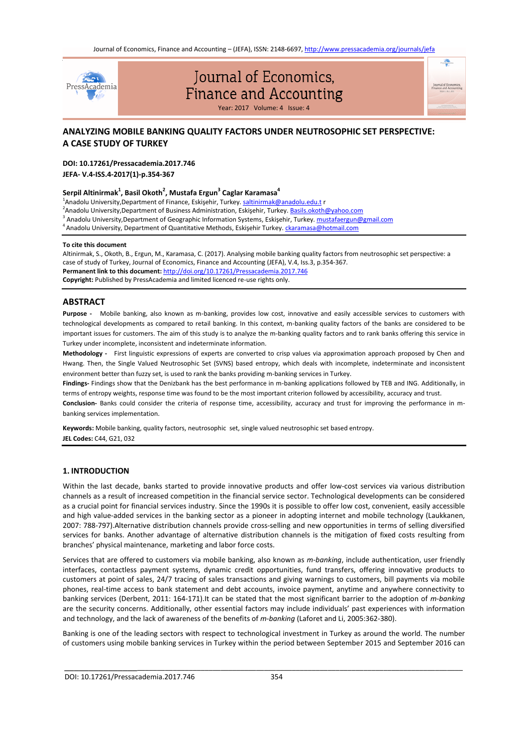Journal of Economics, Finance and Accounting – (JEFA), ISSN: 2148-6697, http://www.pressacademia.org/journals/jefa



# Journal of Economics, Finance and Accounting

Year: 2017 Volume: 4 Issue: 4

# **ANALYZING MOBILE BANKING QUALITY FACTORS UNDER NEUTROSOPHIC SET PERSPECTIVE: A CASE STUDY OF TURKEY**

# **DOI: 10.17261/Pressacademia.2017.746**

**JEFA- V.4-ISS.4-2017(1)-p.354-367**

# **Serpil Altinirmak<sup>1</sup> , Basil Okoth<sup>2</sup> , Mustafa Ergun<sup>3</sup> Caglar Karamasa<sup>4</sup>**

<sup>1</sup>Anadolu University,Department of Finance, Eskişehir, Turkey. <u>[saltinirmak@anadolu.edu.t](mailto:saltinirmak@anadolu.edu.t)</u> r

<sup>2</sup>Anadolu University,Department of Business Administration, Eskişehir, Turkey. <u>Basils.okoth@yahoo.com</u>

- <sup>3</sup> Anadolu University,Department of Geographic Information Systems, Eskişehir, Turkey. <u>[mustafaergun@gmail.com](mailto:mustafaergun@gmail.com)</u>
- <sup>4</sup> Anadolu University, Department of Quantitative Methods, Eskişehir Turkey. <u>[ckaramasa@hotmail.com](mailto:ckaramasa@hotmail.com)</u>

#### **To cite this document**

Altinirmak, S., Okoth, B., Ergun, M., Karamasa, C. (2017). Analysing mobile banking quality factors from neutrosophic set perspective: a case of study of Turkey, Journal of Economics, Finance and Accounting (JEFA), V.4, Iss.3, p.354-367. **Permanent link to this document:** http://doi.org/10.17261/Pressacademia.2017.746 **Copyright:** Published by PressAcademia and limited licenced re-use rights only.

# **ABSTRACT**

**Purpose -** Mobile banking, also known as m-banking, provides low cost, innovative and easily accessible services to customers with technological developments as compared to retail banking. In this context, m-banking quality factors of the banks are considered to be important issues for customers. The aim of this study is to analyze the m-banking quality factors and to rank banks offering this service in Turkey under incomplete, inconsistent and indeterminate information.

**Methodology -** First linguistic expressions of experts are converted to crisp values via approximation approach proposed by Chen and Hwang. Then, the Single Valued Neutrosophic Set (SVNS) based entropy, which deals with incomplete, indeterminate and inconsistent environment better than fuzzy set, is used to rank the banks providing m-banking services in Turkey.

**Findings-** Findings show that the Denizbank has the best performance in m-banking applications followed by TEB and ING. Additionally, in terms of entropy weights, response time was found to be the most important criterion followed by accessibility, accuracy and trust.

**Conclusion-** Banks could consider the criteria of response time, accessibility, accuracy and trust for improving the performance in mbanking services implementation.

**Keywords:** Mobile banking, quality factors, neutrosophic set, single valued neutrosophic set based entropy. **JEL Codes:** C44, G21, 032

# **1. INTRODUCTION**

Within the last decade, banks started to provide innovative products and offer low-cost services via various distribution channels as a result of increased competition in the financial service sector. Technological developments can be considered as a crucial point for financial services industry. Since the 1990s it is possible to offer low cost, convenient, easily accessible and high value-added services in the banking sector as a pioneer in adopting internet and mobile technology (Laukkanen, 2007: 788-797).Alternative distribution channels provide cross-selling and new opportunities in terms of selling diversified services for banks. Another advantage of alternative distribution channels is the mitigation of fixed costs resulting from branches' physical maintenance, marketing and labor force costs.

Services that are offered to customers via mobile banking, also known as *m-banking*, include authentication, user friendly interfaces, contactless payment systems, dynamic credit opportunities, fund transfers, offering innovative products to customers at point of sales, 24/7 tracing of sales transactions and giving warnings to customers, bill payments via mobile phones, real-time access to bank statement and debt accounts, invoice payment, anytime and anywhere connectivity to banking services (Derbent, 2011: 164-171).It can be stated that the most significant barrier to the adoption of *m-banking* are the security concerns. Additionally, other essential factors may include individuals' past experiences with information and technology, and the lack of awareness of the benefits of *m-banking* (Laforet and Li, 2005:362-380).

Banking is one of the leading sectors with respect to technological investment in Turkey as around the world. The number of customers using mobile banking services in Turkey within the period between September 2015 and September 2016 can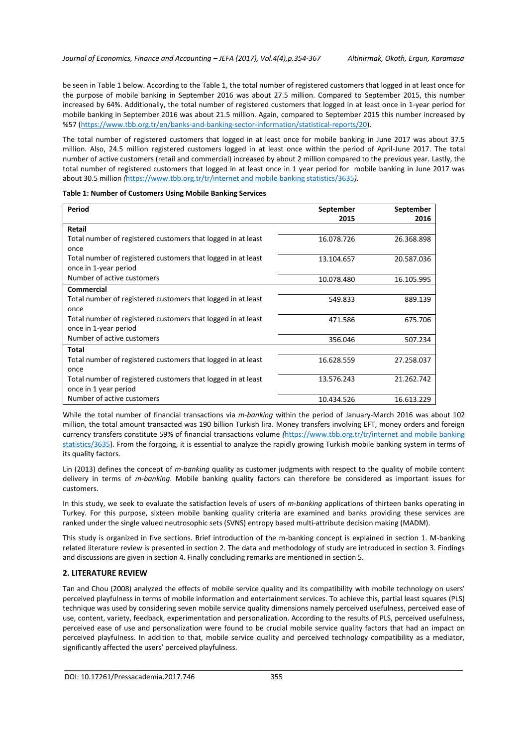be seen in Table 1 below. According to the Table 1, the total number of registered customers that logged in at least once for the purpose of mobile banking in September 2016 was about 27.5 million. Compared to September 2015, this number increased by 64%. Additionally, the total number of registered customers that logged in at least once in 1-year period for mobile banking in September 2016 was about 21.5 million. Again, compared to September 2015 this number increased by %57 [\(https://www.tbb.org.tr/en/banks-and-banking-sector-information/statistical-reports/20\)](https://www.tbb.org.tr/en/banks-and-banking-sector-information/statistical-reports/20).

The total number of registered customers that logged in at least once for mobile banking in June 2017 was about 37.5 million. Also, 24.5 million registered customers logged in at least once within the period of April-June 2017. The total number of active customers (retail and commercial) increased by about 2 million compared to the previous year. Lastly, the total number of registered customers that logged in at least once in 1 year period for mobile banking in June 2017 was about 30.5 million *(*[https://www.tbb.org.tr/tr/internet and mobile banking statistics/3635](https://www.tbb.org.tr/tr/internet%20and%20mobile%20banking%20statistics/3635)*).*

| Table 1: Number of Customers Using Mobile Banking Services |  |  |
|------------------------------------------------------------|--|--|
|------------------------------------------------------------|--|--|

| Period                                                       | September  | September  |
|--------------------------------------------------------------|------------|------------|
|                                                              | 2015       | 2016       |
| Retail                                                       |            |            |
| Total number of registered customers that logged in at least | 16.078.726 | 26.368.898 |
| once                                                         |            |            |
| Total number of registered customers that logged in at least | 13.104.657 | 20.587.036 |
| once in 1-year period                                        |            |            |
| Number of active customers                                   | 10.078.480 | 16.105.995 |
| Commercial                                                   |            |            |
| Total number of registered customers that logged in at least | 549.833    | 889.139    |
| once                                                         |            |            |
| Total number of registered customers that logged in at least | 471.586    | 675.706    |
| once in 1-year period                                        |            |            |
| Number of active customers                                   | 356.046    | 507.234    |
| Total                                                        |            |            |
| Total number of registered customers that logged in at least | 16.628.559 | 27.258.037 |
| once                                                         |            |            |
| Total number of registered customers that logged in at least | 13.576.243 | 21.262.742 |
| once in 1 year period                                        |            |            |
| Number of active customers                                   | 10.434.526 | 16.613.229 |

While the total number of financial transactions via *m-banking* within the period of January-March 2016 was about 102 million, the total amount transacted was 190 billion Turkish lira. Money transfers involving EFT, money orders and foreign currency transfers constitute 59% of financial transactions volume *(*[https://www.tbb.org.tr/tr/internet and mobile banking](https://www.tbb.org.tr/tr/internet%20and%20mobile%20banking%20statistics/3635)  [statistics/3635\).](https://www.tbb.org.tr/tr/internet%20and%20mobile%20banking%20statistics/3635) From the forgoing, it is essential to analyze the rapidly growing Turkish mobile banking system in terms of its quality factors.

Lin (2013) defines the concept of *m-banking* quality as customer judgments with respect to the quality of mobile content delivery in terms of *m-banking*. Mobile banking quality factors can therefore be considered as important issues for customers.

In this study, we seek to evaluate the satisfaction levels of users of *m-banking* applications of thirteen banks operating in Turkey. For this purpose, sixteen mobile banking quality criteria are examined and banks providing these services are ranked under the single valued neutrosophic sets (SVNS) entropy based multi-attribute decision making (MADM).

This study is organized in five sections. Brief introduction of the m-banking concept is explained in section 1. M-banking related literature review is presented in section 2. The data and methodology of study are introduced in section 3. Findings and discussions are given in section 4. Finally concluding remarks are mentioned in section 5.

# **2. LITERATURE REVIEW**

Tan and Chou (2008) analyzed the effects of mobile service quality and its compatibility with mobile technology on users' perceived playfulness in terms of mobile information and entertainment services. To achieve this, partial least squares (PLS) technique was used by considering seven mobile service quality dimensions namely perceived usefulness, perceived ease of use, content, variety, feedback, experimentation and personalization. According to the results of PLS, perceived usefulness, perceived ease of use and personalization were found to be crucial mobile service quality factors that had an impact on perceived playfulness. In addition to that, mobile service quality and perceived technology compatibility as a mediator, significantly affected the users' perceived playfulness.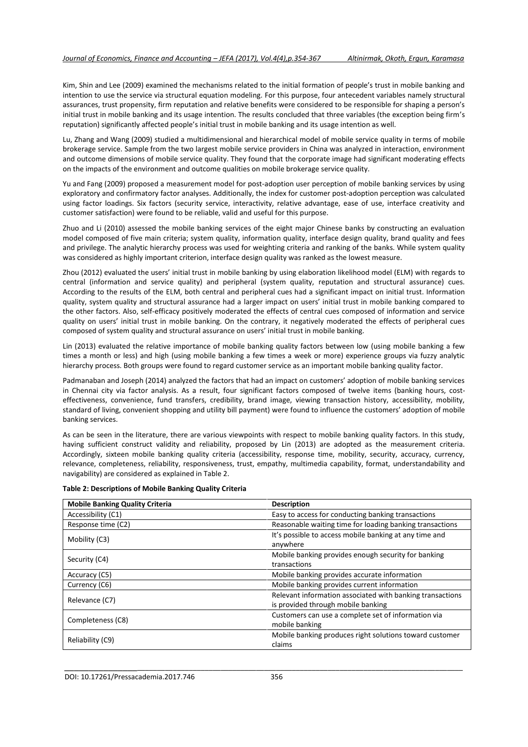Kim, Shin and Lee (2009) examined the mechanisms related to the initial formation of people's trust in mobile banking and intention to use the service via structural equation modeling. For this purpose, four antecedent variables namely structural assurances, trust propensity, firm reputation and relative benefits were considered to be responsible for shaping a person's initial trust in mobile banking and its usage intention. The results concluded that three variables (the exception being firm's reputation) significantly affected people's initial trust in mobile banking and its usage intention as well.

Lu, Zhang and Wang (2009) studied a multidimensional and hierarchical model of mobile service quality in terms of mobile brokerage service. Sample from the two largest mobile service providers in China was analyzed in interaction, environment and outcome dimensions of mobile service quality. They found that the corporate image had significant moderating effects on the impacts of the environment and outcome qualities on mobile brokerage service quality.

Yu and Fang (2009) proposed a measurement model for post-adoption user perception of mobile banking services by using exploratory and confirmatory factor analyses. Additionally, the index for customer post-adoption perception was calculated using factor loadings. Six factors (security service, interactivity, relative advantage, ease of use, interface creativity and customer satisfaction) were found to be reliable, valid and useful for this purpose.

Zhuo and Li (2010) assessed the mobile banking services of the eight major Chinese banks by constructing an evaluation model composed of five main criteria; system quality, information quality, interface design quality, brand quality and fees and privilege. The analytic hierarchy process was used for weighting criteria and ranking of the banks. While system quality was considered as highly important criterion, interface design quality was ranked as the lowest measure.

Zhou (2012) evaluated the users' initial trust in mobile banking by using elaboration likelihood model (ELM) with regards to central (information and service quality) and peripheral (system quality, reputation and structural assurance) cues. According to the results of the ELM, both central and peripheral cues had a significant impact on initial trust. Information quality, system quality and structural assurance had a larger impact on users' initial trust in mobile banking compared to the other factors. Also, self-efficacy positively moderated the effects of central cues composed of information and service quality on users' initial trust in mobile banking. On the contrary, it negatively moderated the effects of peripheral cues composed of system quality and structural assurance on users' initial trust in mobile banking.

Lin (2013) evaluated the relative importance of mobile banking quality factors between low (using mobile banking a few times a month or less) and high (using mobile banking a few times a week or more) experience groups via fuzzy analytic hierarchy process. Both groups were found to regard customer service as an important mobile banking quality factor.

Padmanaban and Joseph (2014) analyzed the factors that had an impact on customers' adoption of mobile banking services in Chennai city via factor analysis. As a result, four significant factors composed of twelve items (banking hours, costeffectiveness, convenience, fund transfers, credibility, brand image, viewing transaction history, accessibility, mobility, standard of living, convenient shopping and utility bill payment) were found to influence the customers' adoption of mobile banking services.

As can be seen in the literature, there are various viewpoints with respect to mobile banking quality factors. In this study, having sufficient construct validity and reliability, proposed by Lin (2013) are adopted as the measurement criteria. Accordingly, sixteen mobile banking quality criteria (accessibility, response time, mobility, security, accuracy, currency, relevance, completeness, reliability, responsiveness, trust, empathy, multimedia capability, format, understandability and navigability) are considered as explained in Table 2.

| <b>Mobile Banking Quality Criteria</b> | <b>Description</b>                                        |
|----------------------------------------|-----------------------------------------------------------|
| Accessibility (C1)                     | Easy to access for conducting banking transactions        |
| Response time (C2)                     | Reasonable waiting time for loading banking transactions  |
| Mobility (C3)                          | It's possible to access mobile banking at any time and    |
|                                        | anywhere                                                  |
| Security (C4)                          | Mobile banking provides enough security for banking       |
|                                        | transactions                                              |
| Accuracy (C5)                          | Mobile banking provides accurate information              |
| Currency (C6)                          | Mobile banking provides current information               |
| Relevance (C7)                         | Relevant information associated with banking transactions |
|                                        | is provided through mobile banking                        |
| Completeness (C8)                      | Customers can use a complete set of information via       |
|                                        | mobile banking                                            |
| Reliability (C9)                       | Mobile banking produces right solutions toward customer   |
|                                        | claims                                                    |

### **Table 2: Descriptions of Mobile Banking Quality Criteria**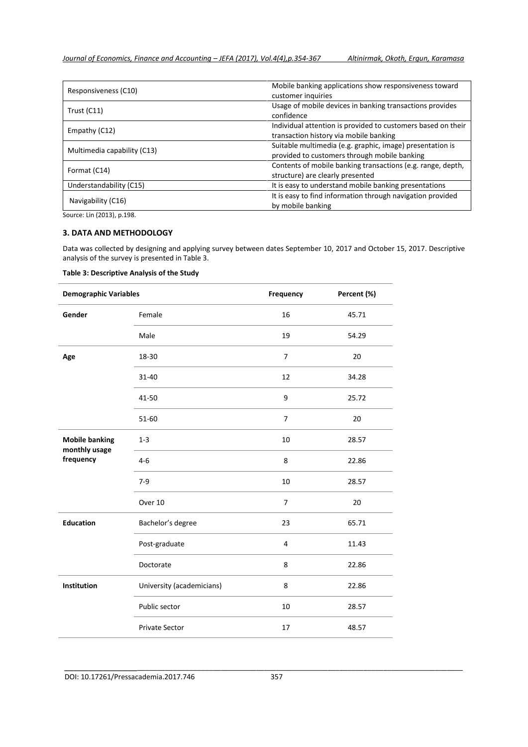| Responsiveness (C10)        | Mobile banking applications show responsiveness toward<br>customer inquiries                              |  |  |  |  |  |
|-----------------------------|-----------------------------------------------------------------------------------------------------------|--|--|--|--|--|
| Trust $(C11)$               | Usage of mobile devices in banking transactions provides<br>confidence                                    |  |  |  |  |  |
| Empathy (C12)               | Individual attention is provided to customers based on their<br>transaction history via mobile banking    |  |  |  |  |  |
| Multimedia capability (C13) | Suitable multimedia (e.g. graphic, image) presentation is<br>provided to customers through mobile banking |  |  |  |  |  |
| Format (C14)                | Contents of mobile banking transactions (e.g. range, depth,<br>structure) are clearly presented           |  |  |  |  |  |
| Understandability (C15)     | It is easy to understand mobile banking presentations                                                     |  |  |  |  |  |
| Navigability (C16)          | It is easy to find information through navigation provided<br>by mobile banking                           |  |  |  |  |  |

Source: Lin (2013), p.198.

# **3. DATA AND METHODOLOGY**

Data was collected by designing and applying survey between dates September 10, 2017 and October 15, 2017. Descriptive analysis of the survey is presented in Table 3.

## **Table 3: Descriptive Analysis of the Study**

| <b>Demographic Variables</b> |                           | Frequency      | Percent (%) |
|------------------------------|---------------------------|----------------|-------------|
| Gender                       | Female                    | 16             | 45.71       |
|                              | Male                      | 19             | 54.29       |
| Age                          | 18-30                     | $\overline{7}$ | 20          |
|                              | 31-40                     | 12             | 34.28       |
|                              | 41-50                     | 9              | 25.72       |
|                              | 51-60                     | $\overline{7}$ | 20          |
| <b>Mobile banking</b>        | $1 - 3$                   | 10             | 28.57       |
| monthly usage<br>frequency   | $4 - 6$                   | 8              | 22.86       |
|                              | $7-9$                     | 10             | 28.57       |
|                              | Over 10                   | $\overline{7}$ | 20          |
| <b>Education</b>             | Bachelor's degree         | 23             | 65.71       |
|                              | Post-graduate             | 4              | 11.43       |
|                              | Doctorate                 | 8              | 22.86       |
| Institution                  | University (academicians) | 8              | 22.86       |
|                              | Public sector             | 10             | 28.57       |
|                              | <b>Private Sector</b>     | 17             | 48.57       |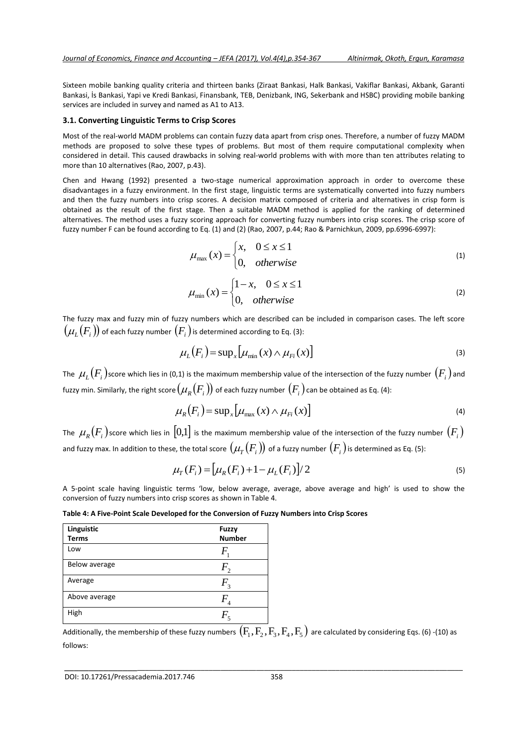Sixteen mobile banking quality criteria and thirteen banks (Ziraat Bankasi, Halk Bankasi, Vakiflar Bankasi, Akbank, Garanti Bankasi, İs Bankasi, Yapi ve Kredi Bankasi, Finansbank, TEB, Denizbank, ING, Sekerbank and HSBC) providing mobile banking services are included in survey and named as A1 to A13.

#### **3.1. Converting Linguistic Terms to Crisp Scores**

Most of the real-world MADM problems can contain fuzzy data apart from crisp ones. Therefore, a number of fuzzy MADM methods are proposed to solve these types of problems. But most of them require computational complexity when considered in detail. This caused drawbacks in solving real-world problems with with more than ten attributes relating to more than 10 alternatives (Rao, 2007, p.43).

Chen and Hwang (1992) presented a two-stage numerical approximation approach in order to overcome these disadvantages in a fuzzy environment. In the first stage, linguistic terms are systematically converted into fuzzy numbers and then the fuzzy numbers into crisp scores. A decision matrix composed of criteria and alternatives in crisp form is obtained as the result of the first stage. Then a suitable MADM method is applied for the ranking of determined alternatives. The method uses a fuzzy scoring approach for converting fuzzy numbers into crisp scores. The crisp score of fuzzy number F can be found according to Eq. (1) and (2) (Rao, 2007, p.44; Rao & Parnichkun, 2009, pp.6996-6997):

$$
\mu_{\max}(x) = \begin{cases} x, & 0 \le x \le 1 \\ 0, & otherwise \end{cases}
$$
 (1)

$$
\mu_{\min}(x) = \begin{cases} 1 - x, & 0 \le x \le 1 \\ 0, & otherwise \end{cases}
$$
 (2)

The fuzzy max and fuzzy min of fuzzy numbers which are described can be included in comparison cases. The left score  $\left(\mu_{_L}(F_{_i})\right)$  of each fuzzy number  $\left(F_{_i}\right)$ is determined according to Eq. (3):

$$
\mu_L(F_i) = \sup_x \big[ \mu_{\min}(x) \wedge \mu_{Fi}(x) \big] \tag{3}
$$

The  $\,\mu_L^{}(F_i^{})$ score which lies in (0,1) is the maximum membership value of the intersection of the fuzzy number  $(F_i^{})$  and fuzzy min. Similarly, the right score  $(\mu_{\scriptscriptstyle R}(F_{\scriptscriptstyle i}))$  of each fuzzy number  $(F_{\scriptscriptstyle i})$  can be obtained as Eq. (4):

$$
\mu_R(F_i) = \sup_x \big[ \mu_{\max}(x) \wedge \mu_{F_i}(x) \big] \tag{4}
$$

The  $\,\mu_R^{}(F_i^{})$ score which lies in  $[0,1]$  is the maximum membership value of the intersection of the fuzzy number  $(F_i^{})$ and fuzzy max. In addition to these, the total score  $(\mu_{_T}(F_i))$  of a fuzzy number  $(F_i)$  is determined as Eq. (5):

$$
\mu_{T}(F_i) = \left[ \mu_R(F_i) + 1 - \mu_L(F_i) \right] / 2 \tag{5}
$$

A 5-point scale having linguistic terms 'low, below average, average, above average and high' is used to show the conversion of fuzzy numbers into crisp scores as shown in Table 4.

**Table 4: A Five-Point Scale Developed for the Conversion of Fuzzy Numbers into Crisp Scores**

| Linguistic<br><b>Terms</b> | <b>Fuzzy</b><br><b>Number</b> |
|----------------------------|-------------------------------|
| Low                        | F                             |
| Below average              | $F_{\gamma}$                  |
| Average                    | $F_{\tiny{\text{3}}}$         |
| Above average              | F                             |
| High                       | $F_{\rm s}$                   |

Additionally, the membership of these fuzzy numbers  $\left( F_1,F_2,F_3,F_4,F_5\right)$  are calculated by considering Eqs. (6) -(10) as follows: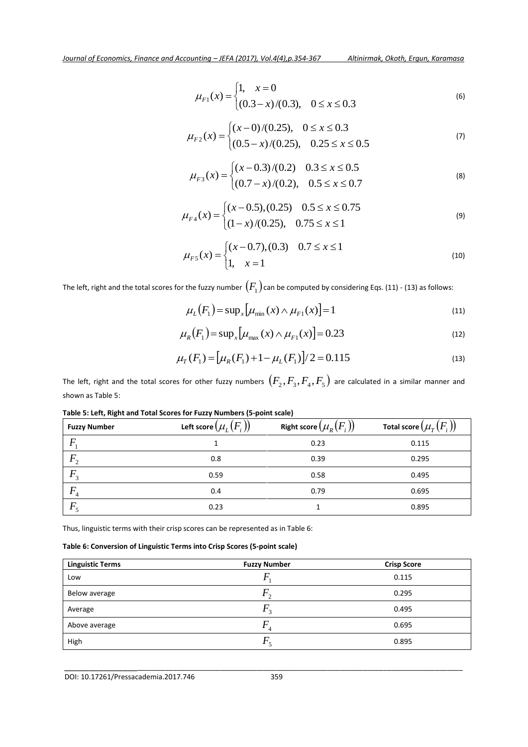$$
\mu_{F1}(x) = \begin{cases} 1, & x = 0 \\ (0.3 - x)/(0.3), & 0 \le x \le 0.3 \end{cases}
$$
 (6)

$$
\mu_{F2}(x) = \begin{cases}\n(x-0)/(0.25), & 0 \le x \le 0.3 \\
(0.5-x)/(0.25), & 0.25 \le x \le 0.5\n\end{cases}
$$
\n(7)

$$
\mu_{F3}(x) = \begin{cases}\n(x - 0.3) / (0.2) & 0.3 \le x \le 0.5 \\
(0.7 - x) / (0.2), & 0.5 \le x \le 0.7\n\end{cases}
$$
\n(8)

$$
\mu_{F4}(x) = \begin{cases} (x - 0.5), (0.25) & 0.5 \le x \le 0.75\\ (1 - x)/(0.25), & 0.75 \le x \le 1 \end{cases}
$$
(9)

$$
\mu_{F5}(x) = \begin{cases} (x - 0.7), (0.3) & 0.7 \le x \le 1 \\ 1, & x = 1 \end{cases}
$$
(10)

The left, right and the total scores for the fuzzy number  $\left(F_{1}\right)$ can be computed by considering Eqs. (11) - (13) as follows:

$$
\mu_L(F_1) = \sup_x \left[ \mu_{\min}(x) \wedge \mu_{F_1}(x) \right] = 1 \tag{11}
$$

$$
\mu_R(F_1) = \sup_x \left[ \mu_{\max}(x) \wedge \mu_{F_1}(x) \right] = 0.23 \tag{12}
$$

$$
\mu_T(F_1) = \left[ \mu_R(F_1) + 1 - \mu_L(F_1) \right] / 2 = 0.115
$$
\n(13)

0.23 1 0.895

 $(F_i)$ 

The left, right and the total scores for other fuzzy numbers  $\left(F_2,F_3,F_4,F_5\right)$  are calculated in a similar manner and shown as Table 5:

| Table 5: Left, Kight and Total Scores for Fuzzy Numbers (5-point scale) |                                     |                                                                      |                       |  |  |  |  |  |  |  |
|-------------------------------------------------------------------------|-------------------------------------|----------------------------------------------------------------------|-----------------------|--|--|--|--|--|--|--|
| <b>Fuzzy Number</b>                                                     | Left score $(\mu_{_L}\!(F_{_i})\!)$ | Right score $(\mu_{\scriptscriptstyle R}(F_{\scriptscriptstyle i}))$ | Total score $(\mu_i)$ |  |  |  |  |  |  |  |
|                                                                         |                                     | 0.23                                                                 | 0.115                 |  |  |  |  |  |  |  |
| $F_{\gamma}$                                                            | 0.8                                 | 0.39                                                                 | 0.295                 |  |  |  |  |  |  |  |
| $F_{3}$                                                                 | 0.59                                | 0.58                                                                 | 0.495                 |  |  |  |  |  |  |  |
|                                                                         | 0.4                                 | 0.79                                                                 | 0.695                 |  |  |  |  |  |  |  |

**Table 5: Left, Right and Total Scores for Fuzzy Numbers (5-point scale)**

Thus, linguistic terms with their crisp scores can be represented as in Table 6:

# **Table 6: Conversion of Linguistic Terms into Crisp Scores (5-point scale)**

| <b>Linguistic Terms</b> | <b>Fuzzy Number</b> | <b>Crisp Score</b> |
|-------------------------|---------------------|--------------------|
| Low                     |                     | 0.115              |
| Below average           | $\sim$              | 0.295              |
| Average                 | r,                  | 0.495              |
| Above average           |                     | 0.695              |
| High                    |                     | 0.895              |

\_\_\_\_\_\_\_\_\_\_\_\_\_\_\_\_\_\_\_\_\_\_\_\_\_\_\_\_\_\_\_\_\_\_\_\_\_\_\_\_\_\_\_\_\_\_\_\_\_\_\_\_\_\_\_\_\_\_\_\_\_\_\_\_\_\_\_\_\_\_\_\_\_\_\_\_\_\_\_\_\_\_\_\_\_\_\_\_\_\_\_\_\_\_\_\_\_

 $F_5$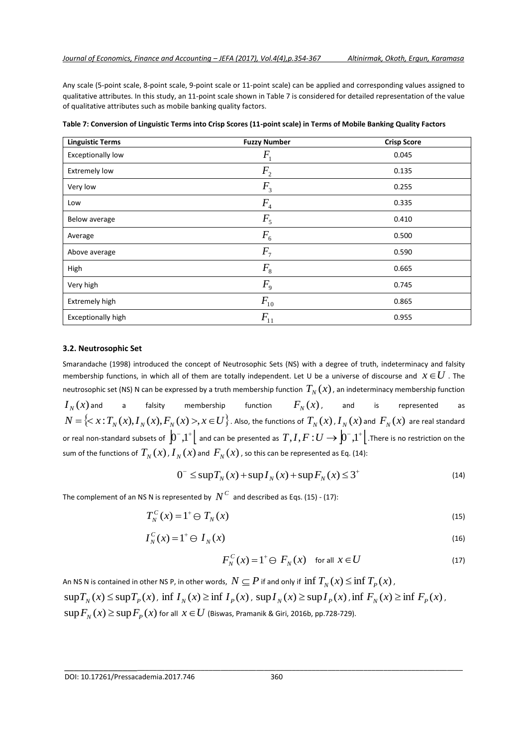Any scale (5-point scale, 8-point scale, 9-point scale or 11-point scale) can be applied and corresponding values assigned to qualitative attributes. In this study, an 11-point scale shown in Table 7 is considered for detailed representation of the value of qualitative attributes such as mobile banking quality factors.

| <b>Linguistic Terms</b>  | <b>Fuzzy Number</b> | <b>Crisp Score</b> |
|--------------------------|---------------------|--------------------|
| <b>Exceptionally low</b> | $F_{1}$             | 0.045              |
| <b>Extremely low</b>     | F <sub>2</sub>      | 0.135              |
| Very low                 | F <sub>3</sub>      | 0.255              |
| Low                      | $F_4$               | 0.335              |
| Below average            | $F_5$               | 0.410              |
| Average                  | $F_{6}$             | 0.500              |
| Above average            | F <sub>7</sub>      | 0.590              |
| High                     | $F_{8}$             | 0.665              |
| Very high                | $F_{9}$             | 0.745              |
| Extremely high           | $F_{10}$            | 0.865              |
| Exceptionally high       | $F_{11}$            | 0.955              |

**Table 7: Conversion of Linguistic Terms into Crisp Scores (11-point scale) in Terms of Mobile Banking Quality Factors**

## **3.2. Neutrosophic Set**

Smarandache (1998) introduced the concept of Neutrosophic Sets (NS) with a degree of truth, indeterminacy and falsity membership functions, in which all of them are totally independent. Let U be a universe of discourse and  $\,x\!\in\!U$  . The neutrosophic set (NS) N can be expressed by a truth membership function  $\, T_N^{}(x)$  , an indeterminacy membership function  $I_N(x)$  and a falsity membership function  $F_{N}(x)$ , and is represented as  $N=\left\{< x\, {{:T_N(x),I_N(x),F_N(x)>}},x\,{\in}\, U\right\}$  . Also, the functions of  $T_{_N}(x)$  ,  $I_{_N}(x)$  and  $\,F_{_N}(x)\,$  are real standard or real non-standard subsets of  $\left[0^-,1^+\right[$  and can be presented as  $\ T,I,F:U\to\left[0^-,1^+\right[$  .There is no restriction on the sum of the functions of  $\,_{N}^{T}(x)$  ,  $I_{N}(x)$  and  $\,F_{N}(x)$  , so this can be represented as Eq. (14):

$$
0^{-} \leq \sup T_N(x) + \sup I_N(x) + \sup F_N(x) \leq 3^{+}
$$
\n(14)

The complement of an NS N is represented by  $N^C$  and described as Eqs. (15) - (17):

$$
T_N^C(x) = 1^+ \oplus T_N(x) \tag{15}
$$

$$
I_N^C(x) = 1^+ \ominus I_N(x) \tag{16}
$$

$$
F_N^C(x) = 1^+ \oplus F_N(x) \quad \text{for all } x \in U \tag{17}
$$

An NS N is contained in other NS P, in other words,  $\,N\subseteq P$  if and only if  $\inf T_{_N}(x)\!\leq\!\inf T_{_P}(x)$  ,  $\sup T_N(x) \leq \sup T_P(x)$ ,  $\inf I_N(x) \geq \inf I_P(x)$ ,  $\sup I_N(x) \geq \sup I_P(x)$ ,  $\inf F_N(x) \geq \inf F_P(x)$ ,  $\sup F_{_N} (x)$   $\geq$   $\sup F_{_P} (x)$  for all  $\,x\in U$  (Biswas, Pramanik & Giri, 2016b, pp.728-729).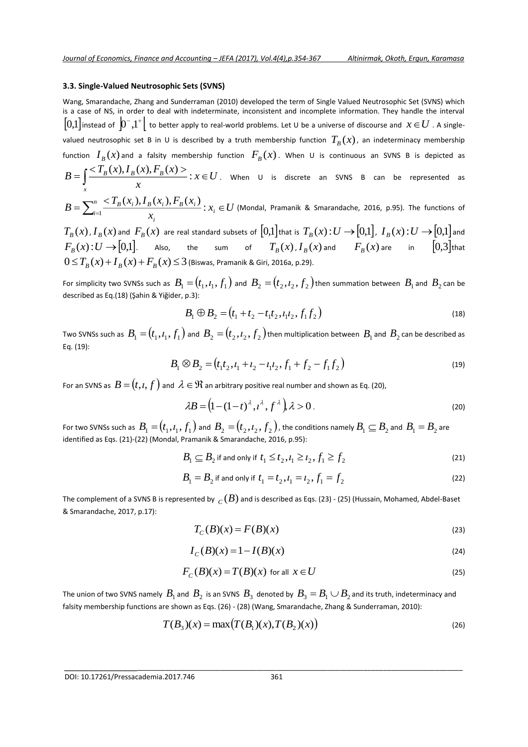## **3.3. Single-Valued Neutrosophic Sets (SVNS)**

Wang, Smarandache, Zhang and Sunderraman (2010) developed the term of Single Valued Neutrosophic Set (SVNS) which is a case of NS, in order to deal with indeterminate, inconsistent and incomplete information. They handle the interval  $[0,\!1]$ instead of  $\Big|0^-,1^+\Big|$  to better apply to real-world problems. Let U be a universe of discourse and  $\,x\!\in\!U$  . A singlevalued neutrosophic set B in U is described by a truth membership function  $\, T_{B}(x)$  , an indeterminacy membership function  $I_B(x)$  and a falsity membership function  $F_B(x)$ . When U is continuous an SVNS B is depicted as  $=\int \frac{}{r}$ :  $x \in$ *x*  $B^{(\lambda)}$ ,  $F_B^{(\lambda)}$ ,  $F_B^{(\lambda)}$  :  $x \in U$ *x*  $B=\int \frac{<\!T_{B}\left(x\right), I_{B}\left(x\right), F_{B}\left(x\right)>}{:}$   $x\in U$  . When U is discrete an SVNS B can be represented as

$$
B=\sum\nolimits_{i=1}^n \frac{
$$

 $T_{_B}(x)$  ,  $I_{_B}(x)$  and  $\ F_{_B}(x)$  are real standard subsets of  $[0,1]$ that is  $\ T_{_B}(x)$  :  $U\to [0,1]$  ,  $\ I_{_B}(x)$  :  $U\to [0,1]$  and  $F_{\scriptscriptstyle B}(x)$  :  $U \rightarrow [0,1]$ . Also, the sum of  $T_{\scriptscriptstyle B}(x)$  ,  $I_{\scriptscriptstyle B}(x)$  and  $F_{\scriptscriptstyle B}(x)$  are in  $[0,3]$ that  $0 \le T_{\overline{B}}(x) + I_{\overline{B}}(x) + F_{\overline{B}}(x) \le 3$  (Biswas, Pramanik & Giri, 2016a, p.29).

For simplicity two SVNSs such as  $\ B_1= (t_1, l_1, f_1)$  and  $\ B_2= (t_2, l_2, f_2)$  then summation between  $\ B_1$  and  $\ B_2$  can be described as Eq.(18) (Şahin & Yiğider, p.3):

$$
B_1 \oplus B_2 = (t_1 + t_2 - t_1 t_2, t_1 t_2, f_1 f_2)
$$
\n(18)

Two SVNSs such as  $\ B_1= (t_1, t_1, f_1)$  and  $\ B_2= (t_2, t_2, f_2)$  then multiplication between  $\ B_1$  and  $\ B_2$  can be described as Eq. (19):

$$
B_1 \otimes B_2 = (t_1 t_2, t_1 + t_2 - t_1 t_2, f_1 + f_2 - f_1 f_2)
$$
\n(19)

For an SVNS as  $\,B\!=\!\big(t,\!{\rm\iota},\!f\big)\,$  and  $\,{\rm\lambda}\in{\mathfrak R}\,$  an arbitrary positive real number and shown as Eq. (20),

$$
\lambda B = (1 - (1 - t)^{\lambda}, t^{\lambda}, f^{\lambda}), \lambda > 0.
$$
\n<sup>(20)</sup>

For two SVNSs such as  $\ B_1= (t_1, t_1, f_1)$  and  $\ B_2= (t_2, t_2, f_2)$  , the conditions namely  $B_1\subseteq B_2$  and  $\ B_1=B_2$  are identified as Eqs. (21)-(22) (Mondal, Pramanik & Smarandache, 2016, p.95):

$$
B_1 \subseteq B_2 \text{ if and only if } t_1 \le t_2, t_1 \ge t_2, f_1 \ge f_2 \tag{21}
$$

$$
B_1 = B_2 \text{ if and only if } t_1 = t_2, t_1 = t_2, f_1 = f_2 \tag{22}
$$

The complement of a SVNS B is represented by  $\ _C(B)$  and is described as Eqs. (23) - (25) (Hussain, Mohamed, Abdel-Baset & Smarandache, 2017, p.17):

$$
T_C(B)(x) = F(B)(x) \tag{23}
$$

$$
I_C(B)(x) = 1 - I(B)(x)
$$
 (24)

$$
F_C(B)(x) = T(B)(x) \text{ for all } x \in U
$$
\n(25)

The union of two SVNS namely  $\,B_1^{}$  and  $\,B_2^{}$  is an SVNS  $\,B_3^{}$  denoted by  $\,B_3^{}=B_1^{}\cup B_2^{}$  and its truth, indeterminacy and falsity membership functions are shown as Eqs. (26) - (28) (Wang, Smarandache, Zhang & Sunderraman, 2010):

\_\_\_\_\_\_\_\_\_\_\_\_\_\_\_\_\_\_\_\_\_\_\_\_\_\_\_\_\_\_\_\_\_\_\_\_\_\_\_\_\_\_\_\_\_\_\_\_\_\_\_\_\_\_\_\_\_\_\_\_\_\_\_\_\_\_\_\_\_\_\_\_\_\_\_\_\_\_\_\_\_\_\_\_\_\_\_\_\_\_\_\_\_\_\_\_\_

$$
T(B_3)(x) = \max(T(B_1)(x), T(B_2)(x))
$$
\n(26)

DOI: 10.17261/Pressacademia.2017.746 361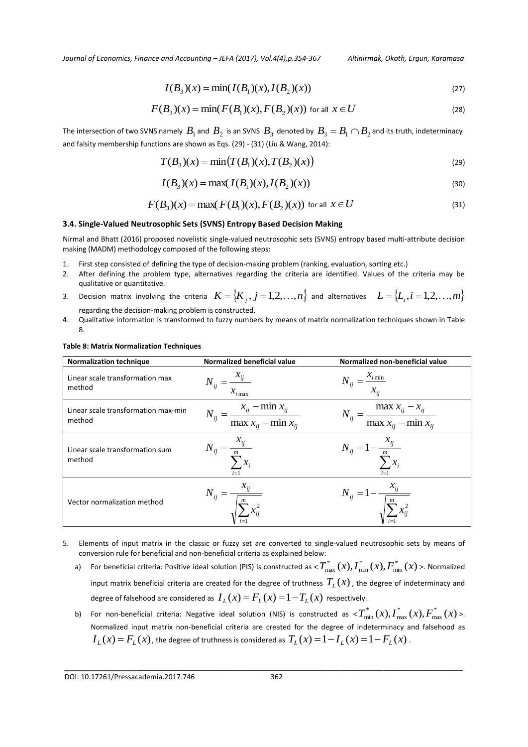$$
I(B_3)(x) = \min(I(B_1)(x), I(B_2)(x))
$$
\n(27)

$$
F(B_3)(x) = \min(F(B_1)(x), F(B_2)(x))
$$
 for all  $x \in U$  (28)

The intersection of two SVNS namely  $B_1$  and  $B_2$  is an SVNS  $B_3$  denoted by  $B_3=B_1\cap B_2$  and its truth, indeterminacy and falsity membership functions are shown as Eqs. (29) - (31) (Liu & Wang, 2014):

$$
T(B_3)(x) = \min(T(B_1)(x), T(B_2)(x))
$$
\n(29)

$$
I(B_3)(x) = \max(I(B_1)(x), I(B_2)(x))
$$
\n(30)

$$
F(B_3)(x) = \max(F(B_1)(x), F(B_2)(x))
$$
 for all  $x \in U$  (31)

# **3.4. Single-Valued Neutrosophic Sets (SVNS) Entropy Based Decision Making**

Nirmal and Bhatt (2016) proposed novelistic single-valued neutrosophic sets (SVNS) entropy based multi-attribute decision making (MADM) methodology composed of the following steps:

- 1. First step consisted of defining the type of decision-making problem (ranking, evaluation, sorting etc.)
- 2. After defining the problem type, alternatives regarding the criteria are identified. Values of the criteria may be qualitative or quantitative.
- 3. Decision matrix involving the criteria  $K = \{K_j, j = 1,2,\ldots,n\}$  and alternatives  $L = \{L_i, i = 1,2,\ldots,m\}$ regarding the decision-making problem is constructed.
- 4. Qualitative information is transformed to fuzzy numbers by means of matrix normalization techniques shown in Table 8.

## **Table 8: Matrix Normalization Techniques**

| <b>Normalization technique</b>                | Normalized beneficial value                                       | Normalized non-beneficial value                                   |
|-----------------------------------------------|-------------------------------------------------------------------|-------------------------------------------------------------------|
| Linear scale transformation max<br>method     | $N_{ij} = \frac{x_{ij}}{x_{ij}}$<br>$x_{i \max}$                  | $N_{ij} = \frac{x_{i\min}}{x_{ii}}$                               |
| Linear scale transformation max-min<br>method | $N_{ij} = \frac{x_{ij} - \min x_{ij}}{\max x_{ij} - \min x_{ij}}$ | $N_{ij} = \frac{\max x_{ij} - x_{ij}}{\max x_{ij} - \min x_{ij}}$ |
| Linear scale transformation sum<br>method     | $N_{ij} = \frac{x_{ij}}{I}$<br>$\cdot \, x_i$<br>$i=1$            | $N_{ij} = 1 - \frac{x_{ij}}{\sum_{i=1}^{m} x_i}$                  |
| Vector normalization method                   | $N_{ij} = \frac{x_{ij}}{\sqrt{\sum_{i=1}^{m} x_{ij}^2}}$          | $N_{ij} = 1 - \frac{x_{ij}}{\sqrt{\sum_{i}^{m} x_{ij}^2}}$        |

- 5. Elements of input matrix in the classic or fuzzy set are converted to single-valued neutrosophic sets by means of conversion rule for beneficial and non-beneficial criteria as explained below:
	- a) For beneficial criteria: Positive ideal solution (PIS) is constructed as  $<$   $T^*_{\max}\,(x),$   $\overline{I}^*_{\min}\,(x),$   $\overline{F}^*_{\min}\,(x)$ \* min  $T_{\max}^*\left(x\right)\!,$   $\!_{\min}^*\left(x\right)\!,$   $\!F_{\min}^*\left(x\right)$  >. Normalized input matrix beneficial criteria are created for the degree of truthness  $T_{_L}\!(x)$  , the degree of indeterminacy and degree of falsehood are considered as  $I_L(x)$   $=$   $F_L(x)$   $=$   $1$   $T_L(x)$   $\,$  respectively.
	- b) For non-beneficial criteria: Negative ideal solution (NIS) is constructed as  $\langle T^*_{\min}(x), I^*_{\max}(x), F^*_{\max}(x)\rangle$ max \* max  $T_{\min}^{*}(x)$ ,  $T_{\max}^{*}(x)$ ,  $F_{\max}^{*}(x)$  >. Normalized input matrix non-beneficial criteria are created for the degree of indeterminacy and falsehood as  $I_L(x)$   $=$   $F_L(x)$  , the degree of truthness is considered as  $\,T_L(x)$   $=$   $1$   $I_L(x)$   $=$   $1$   $F_L(x)$  .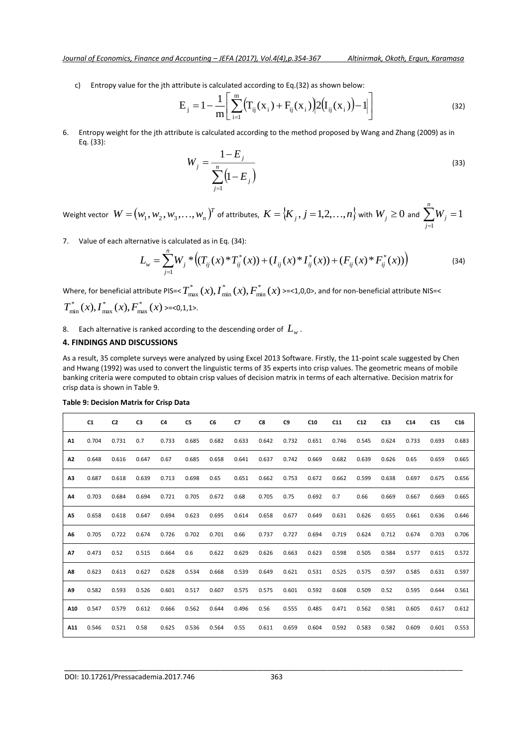c) Entropy value for the jth attribute is calculated according to Eq.(32) as shown below:

$$
E_{j} = 1 - \frac{1}{m} \left[ \sum_{i=1}^{m} (T_{ij}(x_{i}) + F_{ij}(x_{i})) \right] 2(I_{ij}(x_{i})) - 1] \tag{32}
$$

6. Entropy weight for the jth attribute is calculated according to the method proposed by Wang and Zhang (2009) as in Eq. (33):

$$
W_j = \frac{1 - E_j}{\sum_{j=1}^n (1 - E_j)}
$$
(33)

Weight vector  $\text{ } W = \left (w_1, w_2, w_3, \ldots, w_n\right )^{\!T}$  of attributes,  $\text{ } K = \left \{ \!K_j, j=1,2,\ldots,n \right \}$  with  $\text{ } W_j \geq 0$  and  $\sum_{j=1}^n$ ᆖ *n j <sup>W</sup><sup>j</sup>* 1 1

7. Value of each alternative is calculated as in Eq. (34):

$$
L_{w} = \sum_{j=1}^{n} W_{j} * \left( (T_{ij}(x) * T_{ij}^{*}(x)) + (I_{ij}(x) * I_{ij}^{*}(x)) + (F_{ij}(x) * F_{ij}^{*}(x)) \right)
$$
(34)

Where, for beneficial attribute PIS=<  $T^*_{\max}\left(x\right)$  ,  $\overline{I}^*_{\min}\left(x\right)$  ,  $\overline{F}^*_{\min}\left(x\right)$ \* min  $T_{\max}^{\ast}\left(x\right)$ ,  $\overline{I}_{\min}^{\ast}\left(x\right)$ ,  $\overline{F}_{\min}^{\ast}\left(x\right)$  >=<1,0,0>, and for non-beneficial attribute NIS=<  $(x)$ ,  $I_{\max}^*(x)$ ,  $F_{\max}^*(x)$ max \* max  $T_{\min}^*(x)$ ,  $T_{\max}^*(x)$ ,  $F_{\max}^*(x)$  >=<0,1,1>.

8.  $\;\;$  Each alternative is ranked according to the descending order of  $\, L_{\!w}^{}$  .

#### **4. FINDINGS AND DISCUSSIONS**

As a result, 35 complete surveys were analyzed by using Excel 2013 Software. Firstly, the 11-point scale suggested by Chen and Hwang (1992) was used to convert the linguistic terms of 35 experts into crisp values. The geometric means of mobile banking criteria were computed to obtain crisp values of decision matrix in terms of each alternative. Decision matrix for crisp data is shown in Table 9.

|                | C1    | C <sub>2</sub> | C3    | C <sub>4</sub> | C <sub>5</sub> | C <sub>6</sub> | C7    | C8    | C <sub>9</sub> | C10   | C11   | C12   | C13   | C <sub>14</sub> | C15   | C <sub>16</sub> |
|----------------|-------|----------------|-------|----------------|----------------|----------------|-------|-------|----------------|-------|-------|-------|-------|-----------------|-------|-----------------|
| A1             | 0.704 | 0.731          | 0.7   | 0.733          | 0.685          | 0.682          | 0.633 | 0.642 | 0.732          | 0.651 | 0.746 | 0.545 | 0.624 | 0.733           | 0.693 | 0.683           |
| A2             | 0.648 | 0.616          | 0.647 | 0.67           | 0.685          | 0.658          | 0.641 | 0.637 | 0.742          | 0.669 | 0.682 | 0.639 | 0.626 | 0.65            | 0.659 | 0.665           |
| A <sub>3</sub> | 0.687 | 0.618          | 0.639 | 0.713          | 0.698          | 0.65           | 0.651 | 0.662 | 0.753          | 0.672 | 0.662 | 0.599 | 0.638 | 0.697           | 0.675 | 0.656           |
| A4             | 0.703 | 0.684          | 0.694 | 0.721          | 0.705          | 0.672          | 0.68  | 0.705 | 0.75           | 0.692 | 0.7   | 0.66  | 0.669 | 0.667           | 0.669 | 0.665           |
| <b>A5</b>      | 0.658 | 0.618          | 0.647 | 0.694          | 0.623          | 0.695          | 0.614 | 0.658 | 0.677          | 0.649 | 0.631 | 0.626 | 0.655 | 0.661           | 0.636 | 0.646           |
| A6             | 0.705 | 0.722          | 0.674 | 0.726          | 0.702          | 0.701          | 0.66  | 0.737 | 0.727          | 0.694 | 0.719 | 0.624 | 0.712 | 0.674           | 0.703 | 0.706           |
| <b>A7</b>      | 0.473 | 0.52           | 0.515 | 0.664          | 0.6            | 0.622          | 0.629 | 0.626 | 0.663          | 0.623 | 0.598 | 0.505 | 0.584 | 0.577           | 0.615 | 0.572           |
| A8             | 0.623 | 0.613          | 0.627 | 0.628          | 0.534          | 0.668          | 0.539 | 0.649 | 0.621          | 0.531 | 0.525 | 0.575 | 0.597 | 0.585           | 0.631 | 0.597           |
| A9             | 0.582 | 0.593          | 0.526 | 0.601          | 0.517          | 0.607          | 0.575 | 0.575 | 0.601          | 0.592 | 0.608 | 0.509 | 0.52  | 0.595           | 0.644 | 0.561           |
| A10            | 0.547 | 0.579          | 0.612 | 0.666          | 0.562          | 0.644          | 0.496 | 0.56  | 0.555          | 0.485 | 0.471 | 0.562 | 0.581 | 0.605           | 0.617 | 0.612           |
| A11            | 0.546 | 0.521          | 0.58  | 0.625          | 0.536          | 0.564          | 0.55  | 0.611 | 0.659          | 0.604 | 0.592 | 0.583 | 0.582 | 0.609           | 0.601 | 0.553           |

**Table 9: Decision Matrix for Crisp Data**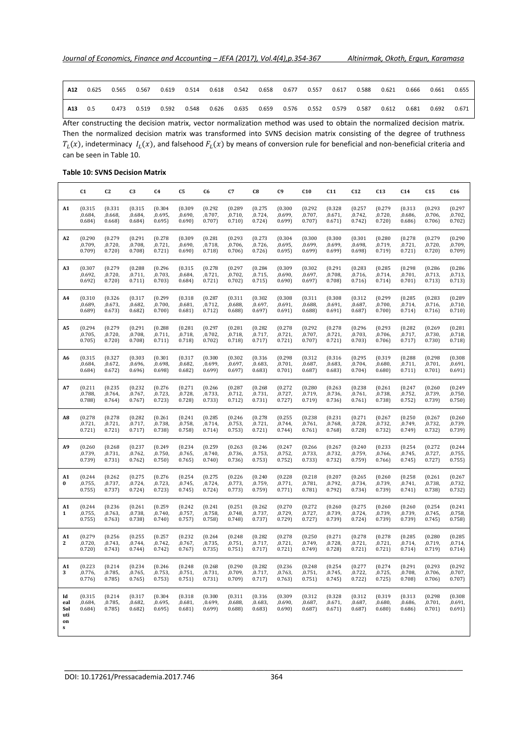| A12 | 0.625 | 0.565 | 0.567 | 0.619 | 0.514 | 0.618 | 0.542 | 0.658 | 0.677 | 0.557 | 0.617 | 0.588 | 0.621 | 0.666 | 0.661 | 0.655 |
|-----|-------|-------|-------|-------|-------|-------|-------|-------|-------|-------|-------|-------|-------|-------|-------|-------|
| A13 | 0.5   | 0.473 | 0.519 | 0.592 | 0.548 | 0.626 | 0.635 | 0.659 | 0.576 | 0.552 | 0.579 | 0.587 | 0.612 | 0.681 | 0.692 | 0.671 |

After constructing the decision matrix, vector normalization method was used to obtain the normalized decision matrix. Then the normalized decision matrix was transformed into SVNS decision matrix consisting of the degree of truthness  $T_L(x)$ , indeterminacy  $I_L(x)$ , and falsehood  $F_L(x)$  by means of conversion rule for beneficial and non-beneficial criteria and can be seen in Table 10.

# **Table 10: SVNS Decision Matrix**

|                                            | C <sub>1</sub>               | C <sub>2</sub>               | C <sub>3</sub>               | C <sub>4</sub>               | C5                           | C <sub>6</sub>                | C7                          | C8                           | C <sub>9</sub>               | C10                          | C11                          | C12                          | C13                          | C <sub>14</sub>              | C15                          | C16                          |
|--------------------------------------------|------------------------------|------------------------------|------------------------------|------------------------------|------------------------------|-------------------------------|-----------------------------|------------------------------|------------------------------|------------------------------|------------------------------|------------------------------|------------------------------|------------------------------|------------------------------|------------------------------|
| A1                                         | (0.315)                      | (0.331)                      | (0.315)                      | (0.304)                      | (0.309)                      | (0.292)                       | (0.289)                     | (0.275)                      | (0.300)                      | (0.292)                      | (0.328)                      | (0.257)                      | (0.279)                      | (0.313)                      | (0.293)                      | (0.297)                      |
|                                            | ,0.684,                      | ,0.668,                      | ,0.684,                      | ,0.695,                      | ,0.690,                      | ,0.707,                       | ,0.710,                     | ,0.724,                      | ,0.699,                      | ,0.707,                      | ,0.671,                      | ,0.742,                      | ,0.720,                      | ,0.686,                      | ,0.706,                      | ,0.702,                      |
|                                            | 0.684)                       | 0.668                        | 0.684)                       | 0.695                        | 0.690                        | 0.707                         | 0.710                       | 0.724                        | 0.699                        | 0.707)                       | 0.671)                       | 0.742                        | 0.720                        | 0.686                        | 0.706                        | 0.702                        |
| A2                                         | (0.290)                      | (0.279)                      | (0.291)                      | (0.278)                      | (0.309)                      | (0.281)                       | (0.293)                     | (0.273)                      | (0.304)                      | (0.300)                      | (0.300)                      | (0.301)                      | (0.280)                      | (0.278)                      | (0.279)                      | (0.290)                      |
|                                            | ,0.709,                      | ,0.720,                      | ,0.708,                      | ,0.721,                      | ,0.690,                      | ,0.718,                       | ,0.706,                     | ,0.726,                      | ,0.695,                      | ,0.699,                      | ,0.699,                      | ,0.698,                      | ,0.719,                      | ,0.721,                      | ,0.720,                      | ,0.709,                      |
|                                            | 0.709                        | 0.720                        | 0.708                        | 0.721                        | 0.690)                       | 0.718                         | 0.706                       | 0.726                        | 0.695)                       | 0.699                        | 0.699                        | 0.698                        | 0.719                        | 0.721                        | 0.720                        | 0.709                        |
| A3                                         | (0.307)                      | (0.279)                      | (0.288)                      | (0.296)                      | (0.315)                      | (0.278)                       | (0.297)                     | (0.284)                      | (0.309)                      | (0.302)                      | (0.291)                      | (0.283)                      | (0.285)                      | (0.298)                      | (0.286)                      | (0.286)                      |
|                                            | ,0.692,                      | ,0.720,                      | ,0.711,                      | ,0.703,                      | ,0.684,                      | ,0.721,                       | ,0.702,                     | ,0.715,                      | ,0.690,                      | ,0.697,                      | ,0.708,                      | ,0.716,                      | ,0.714,                      | ,0.701,                      | ,0.713,                      | ,0.713,                      |
|                                            | 0.692)                       | 0.720                        | 0.711)                       | 0.703)                       | 0.684)                       | 0.721)                        | 0.702                       | 0.715)                       | 0.690)                       | 0.697)                       | 0.708                        | 0.716                        | 0.714)                       | 0.701)                       | 0.713)                       | 0.713)                       |
| A <sub>4</sub>                             | (0.310)                      | (0.326)                      | (0.317)                      | (0.299)                      | (0.318)                      | (0.287)                       | (0.311)                     | (0.302)                      | (0.308)                      | (0.311)                      | (0.308)                      | (0.312)                      | (0.299)                      | (0.285)                      | (0.283)                      | (0.289)                      |
|                                            | ,0.689,                      | ,0.673,                      | ,0.682,                      | ,0.700,                      | ,0.681,                      | ,0.712,                       | ,0.688,                     | ,0.697,                      | ,0.691,                      | ,0.688,                      | ,0.691,                      | ,0.687,                      | ,0.700                       | ,0.714,                      | ,0.716,                      | ,0.710,                      |
|                                            | 0.689                        | 0.673)                       | 0.682)                       | 0.700                        | 0.681)                       | 0.712)                        | 0.688                       | 0.697)                       | 0.691)                       | 0.688                        | 0.691)                       | 0.687)                       | 0.700                        | 0.714)                       | 0.716                        | 0.710)                       |
| A5                                         | (0.294)                      | (0.279)                      | (0.291)                      | (0.288)                      | (0.281)                      | (0.297)                       | (0.281)                     | (0.282)                      | (0.278)                      | (0.292)                      | (0.278)                      | (0.296)                      | (0.293)                      | (0.282)                      | (0.269)                      | (0.281)                      |
|                                            | ,0.705,                      | ,0.720,                      | ,0.708,                      | ,0.711,                      | ,0.718,                      | ,0.702,                       | ,0.718,                     | ,0.717,                      | ,0.721,                      | .0.707.                      | ,0.721,                      | ,0.703,                      | .0.706.                      | ,0.717,                      | ,0.730,                      | ,0.718,                      |
|                                            | 0.705                        | 0.720                        | 0.708                        | 0.711)                       | 0.718                        | 0.702                         | 0.718                       | 0.717)                       | 0.721                        | 0.707)                       | 0.721                        | 0.703)                       | 0.706                        | 0.717)                       | 0.730                        | 0.718                        |
| A6                                         | (0.315)                      | (0.327)                      | (0.303)                      | (0.301)                      | (0.317)                      | (0.300)                       | (0.302)                     | (0.316)                      | (0.298)                      | (0.312)                      | (0.316)                      | (0.295)                      | (0.319)                      | (0.288)                      | (0.298)                      | (0.308)                      |
|                                            | ,0.684,                      | ,0.672,                      | ,0.696,                      | ,0.698,                      | ,0.682,                      | ,0.699,                       | ,0.697,                     | ,0.683,                      | ,0.701,                      | ,0.687,                      | ,0.683,                      | ,0.704,                      | ,0.680,                      | ,0.711,                      | ,0.701,                      | ,0.691,                      |
|                                            | 0.684)                       | 0.672)                       | 0.696)                       | 0.698                        | 0.682)                       | 0.699                         | 0.697)                      | 0.683)                       | 0.701)                       | 0.687)                       | 0.683)                       | 0.704)                       | 0.680)                       | 0.711)                       | 0.701)                       | 0.691)                       |
| A7                                         | (0.211)                      | (0.235)                      | (0.232)                      | (0.276)                      | (0.271)                      | (0.266)                       | (0.287)                     | (0.268)                      | (0.272)                      | (0.280)                      | (0.263)                      | (0.238)                      | (0.261)                      | (0.247)                      | (0.260)                      | (0.249)                      |
|                                            | ,0.788,                      | ,0.764,                      | ,0.767,                      | ,0.723,                      | ,0.728,                      | ,0.733,                       | ,0.712,                     | ,0.731,                      | ,0.727,                      | ,0.719,                      | ,0.736,                      | ,0.761,                      | ,0.738,                      | ,0.752,                      | ,0.739,                      | ,0.750,                      |
|                                            | 0.788                        | 0.764)                       | 0.767)                       | 0.723                        | 0.728                        | 0.733                         | 0.712)                      | 0.731)                       | 0.727                        | 0.719                        | 0.736                        | 0.761)                       | 0.738                        | 0.752                        | 0.739                        | 0.750                        |
| A8                                         | (0.278)                      | (0.278)                      | (0.282)                      | (0.261)                      | (0.241)                      | (0.285)                       | (0.246)                     | (0.278)                      | (0.255)                      | (0.238)                      | (0.231)                      | (0.271)                      | (0.267)                      | (0.250)                      | (0.267)                      | (0.260)                      |
|                                            | ,0.721,                      | ,0.721,                      | ,0.717,                      | ,0.738,                      | ,0.758,                      | ,0.714,                       | ,0.753,                     | ,0.721,                      | ,0.744,                      | ,0.761,                      | ,0.768,                      | ,0.728,                      | ,0.732,                      | ,0.749,                      | ,0.732,                      | ,0.739,                      |
|                                            | 0.721                        | 0.721)                       | 0.717)                       | 0.738                        | 0.758                        | 0.714)                        | 0.753                       | 0.721)                       | 0.744)                       | 0.761)                       | 0.768                        | 0.728                        | 0.732)                       | 0.749                        | 0.732                        | 0.739                        |
| A <sub>9</sub>                             | (0.260)                      | (0.268)                      | (0.237)                      | (0.249)                      | (0.234)                      | (0.259)                       | (0.263)                     | (0.246)                      | (0.247)                      | (0.266)                      | (0.267)                      | (0.240)                      | (0.233)                      | (0.254)                      | (0.272)                      | (0.244)                      |
|                                            | ,0.739,                      | ,0.731,                      | ,0.762,                      | ,0.750,                      | ,0.765,                      | , 0.740,                      | ,0.736,                     | ,0.753,                      | ,0.752,                      | ,0.733,                      | ,0.732,                      | ,0.759,                      | ,0.766,                      | ,0.745,                      | ,0.727,                      | ,0.755,                      |
|                                            | 0.739                        | 0.731)                       | 0.762                        | 0.750                        | 0.765                        | 0.740                         | 0.736                       | 0.753                        | 0.752                        | 0.733                        | 0.732                        | 0.759                        | 0.766                        | 0.745                        | 0.727                        | 0.755                        |
| A1<br>$\bf{0}$                             | (0.244)<br>,0.755,<br>0.755  | (0.262)<br>,0.737,<br>0.737) | (0.275)<br>,0.724,<br>0.724) | (0.276)<br>,0.723,<br>0.723  | (0.254)<br>,0.745,<br>0.745) | (0.275)<br>, 0.724,<br>0.724) | (0.226)<br>,0.773,<br>0.773 | (0.240)<br>,0.759,<br>0.759  | (0.228)<br>,0.771,<br>0.771) | (0.218)<br>,0.781,<br>0.781) | (0.207)<br>,0.792,<br>0.792  | (0.265)<br>,0.734,<br>0.734) | (0.260)<br>,0.739,<br>0.739  | (0.258)<br>,0.741,<br>0.741) | (0.261)<br>,0.738,<br>0.738  | (0.267)<br>,0.732,<br>0.732) |
| A1<br>1                                    | (0.244)<br>,0.755,<br>0.755  | (0.236)<br>,0.763,<br>0.763  | (0.261)<br>,0.738,<br>0.738  | (0.259)<br>, 0.740,<br>0.740 | (0.242)<br>,0.757,<br>0.757  | (0.241)<br>,0.758,<br>0.758   | (0.251)<br>,0.748,<br>0.748 | (0.262)<br>,0.737,<br>0.737) | (0.270)<br>,0.729,<br>0.729  | (0.272)<br>,0.727,<br>0.727) | (0.260)<br>,0.739,<br>0.739  | (0.275)<br>,0.724,<br>0.724) | (0.260)<br>,0.739,<br>0.739) | (0.260)<br>,0.739,<br>0.739  | (0.254)<br>,0.745,<br>0.745  | (0.241)<br>,0.758,<br>0.758  |
| A <sub>1</sub><br>$\mathbf{2}$             | (0.279)<br>,0.720,<br>0.720  | (0.256)<br>,0.743,<br>0.743  | (0.255)<br>,0.744,<br>0.744) | (0.257)<br>,0.742,<br>0.742) | (0.232)<br>,0.767,<br>0.767  | (0.264)<br>,0.735,<br>0.735)  | (0.248)<br>,0.751,<br>0.751 | (0.282)<br>,0.717,<br>0.717) | (0.278)<br>,0.721,<br>0.721  | (0.250)<br>,0.749,<br>0.749  | (0.271)<br>,0.728,<br>0.728  | (0.278)<br>,0.721,<br>0.721) | (0.278)<br>,0.721,<br>0.721) | (0.285)<br>,0.714,<br>0.714) | (0.280)<br>,0.719,<br>0.719  | (0.285)<br>,0.714,<br>0.714) |
| A1<br>3                                    | (0.223)<br>,0.776,<br>0.776  | (0.214)<br>,0.785,<br>0.785  | (0.234)<br>,0.765,<br>0.765  | (0.246)<br>,0.753,<br>0.753  | (0.248)<br>,0.751,<br>0.751) | (0.268)<br>,0.731<br>0.731)   | (0.290)<br>,0.709,<br>0.709 | (0.282)<br>,0.717,<br>0.717) | (0.236)<br>,0.763,<br>0.763  | (0.248)<br>,0.751,<br>0.751) | (0.254)<br>,0.745,<br>0.745  | (0.277)<br>,0.722,<br>0.722  | (0.274)<br>,0.725,<br>0.725  | (0.291)<br>,0.708,<br>0.708  | (0.293)<br>,0.706,<br>0.706  | (0.292)<br>,0.707,<br>0.707) |
| Id<br>eal<br>Sol<br>uti<br>on<br>${\bf s}$ | (0.315)<br>,0.684,<br>0.684) | (0.214)<br>,0.785,<br>0.785  | (0.317)<br>,0.682,<br>0.682) | (0.304)<br>,0.695,<br>0.695) | (0.318)<br>,0.681,<br>0.681) | (0.300)<br>,0.699,<br>0.699   | (0.311)<br>,0.688,<br>0.688 | (0.316)<br>,0.683,<br>0.683) | (0.309)<br>,0.690,<br>0.690) | (0.312)<br>,0.687,<br>0.687) | (0.328)<br>,0.671,<br>0.671) | (0.312)<br>,0.687,<br>0.687) | (0.319)<br>,0.680<br>0.680)  | (0.313)<br>,0.686,<br>0.686) | (0.298)<br>,0.701,<br>0.701) | (0.308)<br>,0.691,<br>0.691) |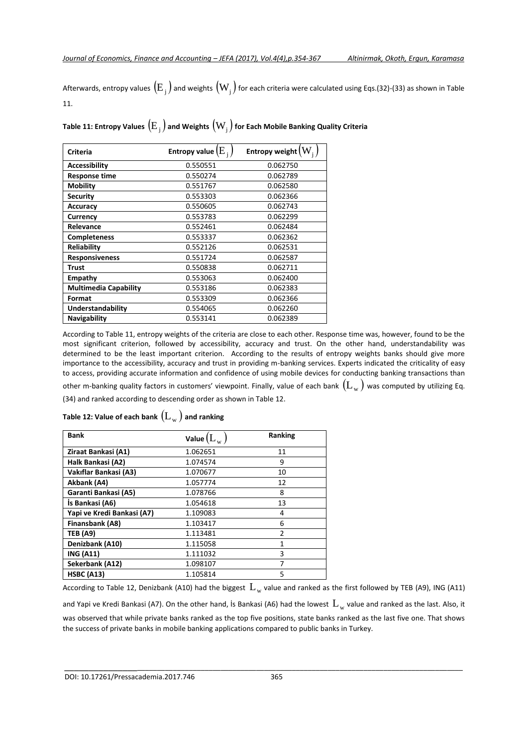Afterwards, entropy values  $\left({\rm E}_{\,_{\rm j}}\right)$  and weights  $\rm\left(W_{\,_{\,j}}\right)$  for each criteria were calculated using Eqs.(32)-(33) as shown in Table 11.

Table 11: Entropy Values  $\left(\text{E}_{_{\text{j}}}\right)$  and Weights  $\left(\text{W}_{_{\text{j}}}\right)$  for Each Mobile Banking Quality Criteria

| Criteria                     | Entropy value $(E_{\frac{1}{2}})$ | Entropy weight $(W_i)$ |
|------------------------------|-----------------------------------|------------------------|
| <b>Accessibility</b>         | 0.550551                          | 0.062750               |
| <b>Response time</b>         | 0.550274                          | 0.062789               |
| <b>Mobility</b>              | 0.551767                          | 0.062580               |
| <b>Security</b>              | 0.553303                          | 0.062366               |
| <b>Accuracy</b>              | 0.550605                          | 0.062743               |
| Currency                     | 0.553783                          | 0.062299               |
| Relevance                    | 0.552461                          | 0.062484               |
| <b>Completeness</b>          | 0.553337                          | 0.062362               |
| <b>Reliability</b>           | 0.552126                          | 0.062531               |
| <b>Responsiveness</b>        | 0.551724                          | 0.062587               |
| Trust                        | 0.550838                          | 0.062711               |
| Empathy                      | 0.553063                          | 0.062400               |
| <b>Multimedia Capability</b> | 0.553186                          | 0.062383               |
| Format                       | 0.553309                          | 0.062366               |
| Understandability            | 0.554065                          | 0.062260               |
| Navigability                 | 0.553141                          | 0.062389               |

According to Table 11, entropy weights of the criteria are close to each other. Response time was, however, found to be the most significant criterion, followed by accessibility, accuracy and trust. On the other hand, understandability was determined to be the least important criterion. According to the results of entropy weights banks should give more importance to the accessibility, accuracy and trust in providing m-banking services. Experts indicated the criticality of easy to access, providing accurate information and confidence of using mobile devices for conducting banking transactions than other m-banking quality factors in customers' viewpoint. Finally, value of each bank  $(\rm L_{_{\rm w}})$  was computed by utilizing Eq.

(34) and ranked according to descending order as shown in Table 12.

| <b>Bank</b>                | Value $(L_{\mathrm{w}})$ | Ranking        |
|----------------------------|--------------------------|----------------|
| Ziraat Bankasi (A1)        | 1.062651                 | 11             |
| Halk Bankasi (A2)          | 1.074574                 | 9              |
| Vakıflar Bankasi (A3)      | 1.070677                 | 10             |
| Akbank (A4)                | 1.057774                 | 12             |
| Garanti Bankasi (A5)       | 1.078766                 | 8              |
| Is Bankasi (A6)            | 1.054618                 | 13             |
| Yapi ve Kredi Bankasi (A7) | 1.109083                 | 4              |
| Finansbank (A8)            | 1.103417                 | 6              |
| <b>TEB (A9)</b>            | 1.113481                 | $\mathfrak{p}$ |
| Denizbank (A10)            | 1.115058                 | 1              |
| <b>ING (A11)</b>           | 1.111032                 | 3              |
| Sekerbank (A12)            | 1.098107                 | 7              |
| <b>HSBC (A13)</b>          | 1.105814                 | 5              |

Table 12: Value of each bank  $\left(\mathrm{L}_{_{\mathrm{W}}}\right)$  and ranking

According to Table 12, Denizbank (A10) had the biggest  $\rm\,L_{w}$  value and ranked as the first followed by TEB (A9), ING (A11)

and Yapi ve Kredi Bankasi (A7). On the other hand, İs Bankasi (A6) had the lowest  $\rm\,L_{w}$  value and ranked as the last. Also, it was observed that while private banks ranked as the top five positions, state banks ranked as the last five one. That shows the success of private banks in mobile banking applications compared to public banks in Turkey.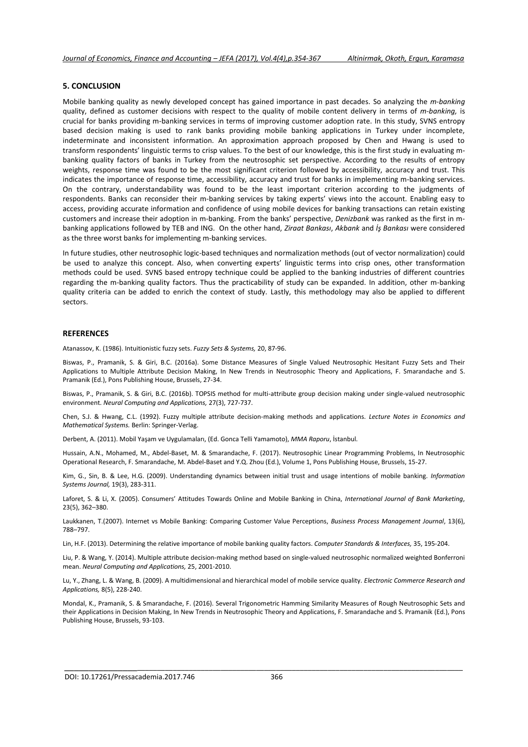#### **5. CONCLUSION**

Mobile banking quality as newly developed concept has gained importance in past decades. So analyzing the *m-banking* quality, defined as customer decisions with respect to the quality of mobile content delivery in terms of *m-banking,* is crucial for banks providing m-banking services in terms of improving customer adoption rate. In this study, SVNS entropy based decision making is used to rank banks providing mobile banking applications in Turkey under incomplete, indeterminate and inconsistent information. An approximation approach proposed by Chen and Hwang is used to transform respondents' linguistic terms to crisp values. To the best of our knowledge, this is the first study in evaluating mbanking quality factors of banks in Turkey from the neutrosophic set perspective. According to the results of entropy weights, response time was found to be the most significant criterion followed by accessibility, accuracy and trust. This indicates the importance of response time, accessibility, accuracy and trust for banks in implementing m-banking services. On the contrary, understandability was found to be the least important criterion according to the judgments of respondents. Banks can reconsider their m-banking services by taking experts' views into the account. Enabling easy to access, providing accurate information and confidence of using mobile devices for banking transactions can retain existing customers and increase their adoption in m-banking. From the banks' perspective, *Denizbank* was ranked as the first in mbanking applications followed by TEB and ING. On the other hand, *Ziraat Bankası*, *Akbank* and *İş Bankası* were considered as the three worst banks for implementing m-banking services.

In future studies, other neutrosophic logic-based techniques and normalization methods (out of vector normalization) could be used to analyze this concept. Also, when converting experts' linguistic terms into crisp ones, other transformation methods could be used. SVNS based entropy technique could be applied to the banking industries of different countries regarding the m-banking quality factors. Thus the practicability of study can be expanded. In addition, other m-banking quality criteria can be added to enrich the context of study. Lastly, this methodology may also be applied to different sectors.

#### **REFERENCES**

Atanassov, K. (1986). Intuitionistic fuzzy sets. *Fuzzy Sets & Systems,* 20, 87-96.

Biswas, P., Pramanik, S. & Giri, B.C. (2016a). Some Distance Measures of Single Valued Neutrosophic Hesitant Fuzzy Sets and Their Applications to Multiple Attribute Decision Making, In New Trends in Neutrosophic Theory and Applications, F. Smarandache and S. Pramanik (Ed.), Pons Publishing House, Brussels, 27-34.

Biswas, P., Pramanik, S. & Giri, B.C. (2016b). TOPSIS method for multi-attribute group decision making under single-valued neutrosophic environment. *Neural Computing and Applications,* 27(3), 727-737.

Chen, S.J. & Hwang, C.L. (1992). Fuzzy multiple attribute decision-making methods and applications. *Lecture Notes in Economics and Mathematical Systems.* Berlin: Springer-Verlag.

Derbent, A. (2011). Mobil Yaşam ve Uygulamaları, (Ed. Gonca Telli Yamamoto), *MMA Raporu*, İstanbul.

Hussain, A.N., Mohamed, M., Abdel-Baset, M. & Smarandache, F. (2017). Neutrosophic Linear Programming Problems, In Neutrosophic Operational Research, F. Smarandache, M. Abdel-Baset and Y.Q. Zhou (Ed.), Volume 1, Pons Publishing House, Brussels, 15-27.

Kim, G., Sin, B. & Lee, H.G. (2009). Understanding dynamics between initial trust and usage intentions of mobile banking. *Information Systems Journal,* 19(3), 283-311.

Laforet, S. & Li, X. (2005). Consumers' Attitudes Towards Online and Mobile Banking in China, *International Journal of Bank Marketing*, 23(5), 362–380.

Laukkanen, T.(2007). Internet vs Mobile Banking: Comparing Customer Value Perceptions, *Business Process Management Journal*, 13(6), 788–797.

Lin, H.F. (2013). Determining the relative importance of mobile banking quality factors. *Computer Standards & Interfaces,* 35, 195-204.

Liu, P. & Wang, Y. (2014). Multiple attribute decision-making method based on single-valued neutrosophic normalized weighted Bonferroni mean. *Neural Computing and Applications,* 25, 2001-2010.

Lu, Y., Zhang, L. & Wang, B. (2009). A multidimensional and hierarchical model of mobile service quality. *Electronic Commerce Research and Applications,* 8(5), 228-240.

Mondal, K., Pramanik, S. & Smarandache, F. (2016). Several Trigonometric Hamming Similarity Measures of Rough Neutrosophic Sets and their Applications in Decision Making, In New Trends in Neutrosophic Theory and Applications, F. Smarandache and S. Pramanik (Ed.), Pons Publishing House, Brussels, 93-103.